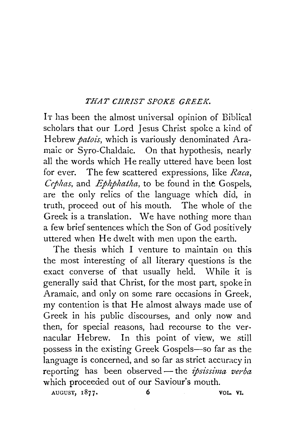## *THAT CHRIST SPOKE GREEK.*

It has been the almost universal opinion of Biblical scholars that our Lord Jesus Christ spoke a kind of Hebrew *patois,* which is variously denominated Aramaic or Syro-Chaldaic. On that hypothesis, nearly all the words which He really uttered have been lost for ever. The few scattered expressions, like *Raca, Cephas,* and *Ephphatha,* to be found in the Gospels, are the only relics of the language which did, in truth, proceed out of his mouth. The whole of the Greek is a translation. We have nothing more than a few brief sentences which the Son of God positively uttered when He dwelt with men upon the earth.

The thesis which I venture to maintain on this the most interesting of all literary questions is the exact converse of that usually held. While it is generally said that Christ, for the most part, spoke in Aramaic, and only on some rare occasions in Greek, my contention is that He almost always made use of Greek in his public discourses, and only now and then, for special reasons, had recourse to the vernacular Hebrew. In this point of view, we still possess in the existing Greek Gospels-so far as the language is concerned, and so far as strict accuracy in reporting has been observed- the *ipsissima verba*  which proceeded out of our Saviour's mouth. AUGUST, 1877. 6 VOL. VI.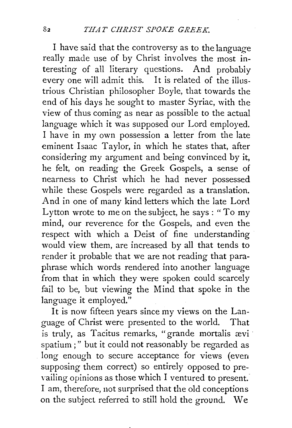I have said that the controversy as to the language really made use of by Christ involves the most interesting of all literary questions. And probably every one will admit this. It is related of the illustrious Christian philosopher Boyle, that towards the end of his days he sought to master Syriac, with the view of thus coming as near as possible to the actual language which it was supposed our Lord employed. I have in my own possession a letter from the late eminent Isaac Taylor, in which he states that, after considering my argument and being convinced by it, he felt, on reading the Greek Gospels, a sense of nearness to Christ which he had never possessed while these Gospels were regarded as a translation. And in one of many kind letters which the late Lord Lytton wrote to me on the subject, he says: "To my mind, our reverence for the Gospels, and even the respect with which a Deist of fine understanding would view them, are increased by all that tends to render it probable that we are not reading that paraphrase which words rendered into another language from that in which they were spoken could scarcely fail to be, but viewing the Mind that spoke in the language it employed."

It is now fifteen years since my views on the Language of Christ were presented to the world. That is truly, as Tacitus remarks, "grande mortalis ævi · spatium ; " but it could not reasonably be regarded as long enough to secure acceptance for views (even supposing them correct) so entirely opposed to prevailing opinions as those which I ventured to present. I am, therefore, not surprised that the old conceptions on the subject referred to still hold the ground. We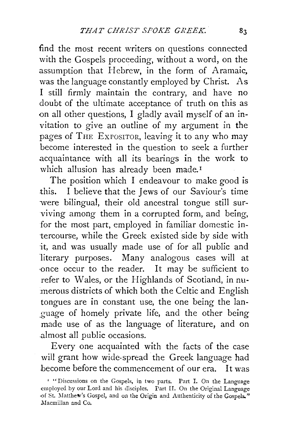find the most recent writers on questions connected with the Gospels proceeding, without a word, on the assumption that Hebrew, in the form of Aramaic, was the language constantly employed by Christ. As I still firmly maintain the contrary, and have no doubt of the ultimate acceptance of truth on this as on all other questions, I gladly avail myself of an invitation to give an outline of my argument in the pages of THE EXPOSITOR, leaving it to any who may become interested in the question to seek a further acquaintance with all its bearings in the work to which allusion has already been made.<sup>1</sup>

The position which I endeavour to make good is this. I believe that the Jews of our Saviour's time were bilingual, their old ancestral tongue still surviving among them in a corrupted form, and being, for the most part, employed in familiar domestic intercourse, while the Greek existed side by side with it, and was usually made use of for all public and literary purposes. Many analogous cases will at ·once occur to the reader. It may be sufficient to refer to Wales, or the Highlands of Scotland, in numerous districts of which both the Celtic and English tongues are in constant use, the one being the lan- \_guage of homely private life, and the other being made use of as the language of literature, and on .almost all public occasions.

Every one acquainted with the facts of the case will grant how wide-spread the Greek language had become before the commencement of our era. It was

<sup>&#</sup>x27; "Discussions on the Gospels, in two parts. Part I. On the Language employed by our Lord and his disciples. Part II. On the Original Language ·of St. l\Iatthe1v's Gospel, and on the Origin and Authenticity of the Gospels." Macmillan and Co.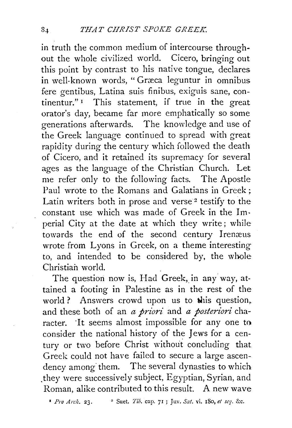in truth the common medium of intercourse throughout the whole civilized world. Cicero, bringing out this point by contrast to his native tongue, declares in well-known words, "Græca leguntur in omnibus fere gentibus, Latina suis finibus, exiguis sane, continentur."<sup>1</sup> This statement, if true in the great orator's day, became far more emphatically so some generations afterwards. The knowledge and use of the Greek language continued to spread with great rapidity during the century which followed the death of Cicero, and it retained its supremacy for several ages as the language of the Christian Church. Let me refer only to the following facts. The Apostle Paul wrote to the Romans and Galatians in Greek ; Latin writers both in prose and verse<sup>2</sup> testify to the constant use which was made of Greek in the lm· perial City at the date at which they write; while towards the end of the second century Irenæus wrote from Lyons in Greek, on a theme interesting to, and intended to be considered by, the whole Christian world.

The question now is, Had Greek, in any way, attained a footing in Palestine as in the rest of the world ? Answers crowd upon us to  $\psi$ is question, and these both of an *a priori* and *a posteriori* character. It seems almost impossible for any one to consider the national history of the Jews for a century or two before Christ without concluding that Greek could not have failed to secure a large ascendency among them. The several dynasties to which they were successively subject, Egyptian, Syrian, and Roman, alike contributed to this result. A new wave

• *Pro Arch.* 23. 2 Suet. *Tib.* cup. 71 ; Juv. *Sat.* vi. 180, *et seJ.* &c.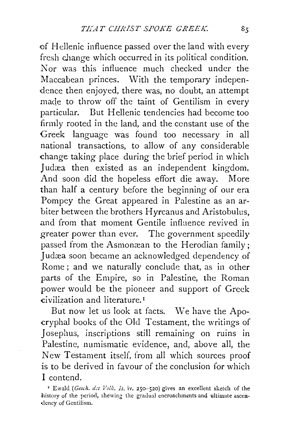of Hellenic influence passed over the land with every fresh change which occurred in its political condition. Nor was this influence much checked under the Maccabean princes. With the temporary independence then enjoyed, there was, no doubt, an attempt made to throw off the taint of Gentilism in every particular. But Hellenic tendencies had become too firmly rooted in the land, and the constant use of the Greek language was found too necessary in all national transactions, to allow of any considerable change taking place during the brief period in which Judæa then existed as an independent kingdom. And soon did the hopeless effort die away. More than half a century before the beginning of our era Pompey the Great appeared in Palestine as an arbiter between the brothers H yrcanus and Aristobulus, and from that moment Gentile infhence revived in greater power than ever. The government speedily passed from the Asmonæan to the Herodian family; Judæa soon became an acknowledged dependency of Rome; and we naturally conclude that, as in other parts of the Empire, so in Palestine, the Roman power would be the pioneer and support of Greek civilization and literature. <sup>1</sup>

But now let us look at facts. We have the Apo--cryphal books of the Old Testament, the writings of Josephus, inscriptions still remaining on ruins in Palestine, numismatic evidence, and, above all, the New Testament itself, from all which sources proof is to be derived in favour of the conclusion for which I contend.

<sup>1</sup> Ewald *(Gesch. des Volk. is.* iv. 250–520) gives an excellent sketch of the history of the period, shewing the gradual encroachments and ultimate ascendency of Gentilism.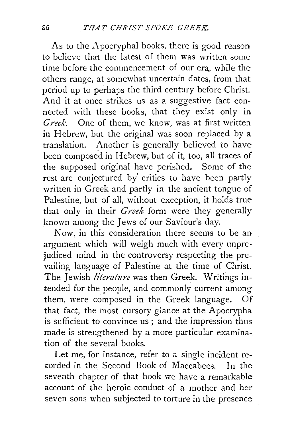As to the Apocryphal books, there is good reason to believe that the latest of them was written some time before the commencement of our era, while the others range, at somewhat uncertain dates, from that period up to perhaps the third century before Christ. And it at once strikes us as a suggestive fact connected with these books, that they exist only in *Greek.* One of them, we know, was at first written in Hebrew, but the original was soon replaced by a translation. Another is generally believed to have been composed in Hebrew, but of it, too, all traces of the supposed original have perished. Some of the rest are conjectured by' critics to have been partly written in Greek and partly in the ancient tongue of Palestine, but of all, without exception, it holds true that only in their *Greek* form were they generally known among the Jews of our Saviour's day.

Now, in this consideration there seems to be an argument which will weigh much with every unprejudiced mind in the controversy respecting the prevailing language of Palestine at the time of Christ. The Jewish *literature* was then Greek. Writings intended for the people, and commonly current among them, were composed in the Greek language. Of that fact, the most cursory glance at the Apocrypha is sufficient to convince us ; and the impression thus made is strengthened by a more particular examination of the several books.

Let me, for instance, refer to a single incident re- ::orded in the Second Book of Maccabees. In the seventh chapter of that book we have a remarkable account of the heroic conduct of a mother and her seven sons when subjected to torture in the presence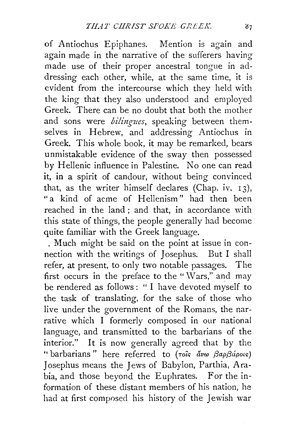of Antiochus Epiphanes. Mention is again and again made in the narrative of the sufferers having made use of their proper ancestral tongue in addressing each other, while, at the same time, it is evident from the intercourse which they held with the king that they also understood and employed Greek. There can be no doubt that both the mother and sons were *bilingues*, speaking between themselves in Hebrew, and addressing Antiochus in Greek. This whole book, it may be remarked, bears unmistakable evidence of the sway then possessed by Hellenic influence in Palestine. No one can read it, in a spirit of candour, without being convinced that, as the writer himself declares (Chap. iv.  $13$ ). " a kind of acme of Hellenism" had then been reached in the land ; and that, in accordance with this state of things, the people generally had become quite familiar with the Greek language.

. Much might be said on the point at issue in connection with the writings of Josephus. But I shall refer, at present, to only two notable passages. The first occurs in the preface to the "Wars," and may be rendered as follows: " I have devoted myself to the task of translating, for the sake of those who live under the government of the Romans, the narrative which I formerly composed in our national language, and transmitted to the barbarians of the interior." It is now generally agreed that by the " barbarians" here referred to (*Tots avw βapβápots*) Josephus means the Jews of Babylon, Parthia, Arabia, and those beyond the Euphrates. For the information of these distant members of his nation, he had at first composed his history of the Jewish war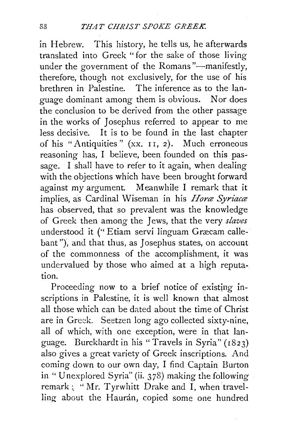in Hebrew. This history, he tells us, he afterwards translated into Greek "for the sake of those living under the government of the Romans"-manifestly, therefore, though not exclusively, for the use of his brethren in Palestine. The inference as to the language dominant among them is obvious. Nor does the conclusion to be derived from the other passage in the works of Josephus referred to appear to me less decisive. It is to be found in the last chapter of his "Antiquities" (xx. I I, 2). Much erroneous reasoning has, I believe, been founded on this passage. I shall have to refer to it again, when dealing with the objections which have been brought forward against my argument. Meanwhile I remark that it implies, as Cardinal Wiseman in his *Hore Syriace* has observed, that so prevalent was the knowledge of Greek then among the Jews, that the very *slaves*  understood it ("Etiam servi linguam Græcam callebant"), and that thus, as Josephus states, on account of the commonness of the accomplishment, it was undervalued by those who aimed at a high reputation.

Proceeding now to a brief notice of existing inscriptions in Palestine, it is well known that almost all those which can be dated about the time of Christ are in Greek. Seetzen long ago collected sixty-nine, all of which, with one exception, were in that language. Burckhardt in his "Travels in Syria" (I823) also gives a great variety of Greek inscriptions. And coming down to our own day, I find Captain Burton in " Unexplored Syria" (ii. *3* 78) making the following remark: "Mr. Tyrwhitt Drake and I, when travelling about the Haurán, copied some one hundred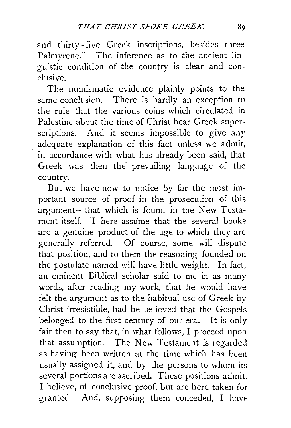and thirty- five Greek inscriptions, besides three Palmyrene." The inference as to the ancient linguistic condition of the country is clear and conclusive.

The numismatic evidence plainly points to the same conclusion. There is hardly an exception to the rule that the various coins which circulated in Palestine about the time of Christ bear Greek superscriptions. And it seems impossible to give any adequate explanation of this fact unless we admit, in accordance with what has already been said, that Greek was then the prevailing language of the country.

But we have now to notice by far the most important source of proof in the prosecution of this argument-that which is found in the New Testament itself. I here assume that the several books are a genuine product of the age to which they are generally referred. Of course, some will dispute that position, and to them the reasoning founded on the postulate named will have little weight. In fact, an eminent Biblical scholar said to me in as many words, after reading my work, that he would have felt the argument as to the habitual use of Greek by Christ irresistible, had he believed that the Gospels belonged to the first century of our era. It is only fair then to say that, in what follows, I proceed upon that assumption. The New Testament is regarded as having been written at the time which has been usually assigned it, and by the persons to whom its several portions are ascribed. These positions admit, I believe, of conclusive proof, but are here taken for granted And, supposing them conceded, I have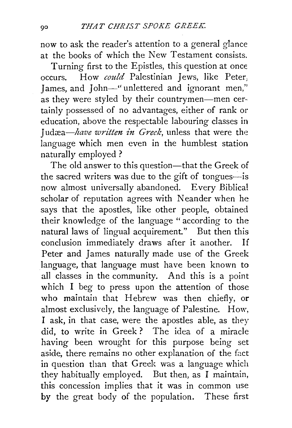now to ask the reader's attention to a general glance at the books of which the New Testament consists.

Turning first to the Epistles, this question at once occurs. How *could* Palestinian Jews, like Peter, James, and John-"unlettered and ignorant men," as they were styled by their countrymen—men certainly possessed of no advantages, either of rank or education, above the respectable labouring classes in Judæa-have written in Greek, unless that were the language which men even in the humblest station naturally employed ?

The old answer to this question-that the Greek of the sacred writers was due to the gift of tongues-is now almost universally abandoned. Every Biblical scholar of reputation agrees with Neander when he says that the apostles, like other people, obtained their knowledge of the language " according to the natural laws of lingual acquirement." But then this conclusion immediately draws after it another. If Peter and James naturally made use of the Greek language, that language must have been known to all classes in the community. And this is a point which I beg to press upon the attention of those who maintain that Hebrew was then chiefly, or almost exclusively, the language of Palestine. How, I ask, in that case, were the apostles able, as they did, to write in Greek ? The idea of a miracle having been wrought for this purpose being set aside, there remains no other explanation of the fact in question than that Greek was a language which they habitually employed. But then, as I maintain, this concession implies that it was in common use by the great body of the population. These first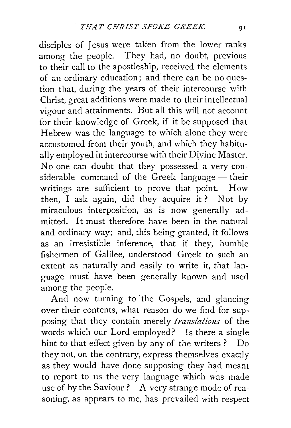disciples of Jesus were taken from the lower ranks among the people. They had, no doubt, previous to their call to the apostleship, received the elements of an ordinary education; and there can be no question that, during the years of their intercourse with Christ, great additions were made to their intellectual vigour and attainments. But all this will not account for their knowledge of Greek, if it be supposed that Hebrew was the language to which alone they were accustomed from their youth, and which they habitually employed in intercourse with their Divine Master. No one can doubt that they possessed a very considerable command of the Greek language - their writings are sufficient to prove that point. How then, I ask again, did they acquire it? Not by miraculous interposition, as is now generally admitted. It must therefore have been in the natural and ordinary way; and, this being granted, it follows as an irresistible inference, that if they, humble fishermen of Galilee, understood Greek to such an extent as naturally and easily to write it, that language must have been generally known and used among the people.

And now turning to "the Gospels, and glancing over their contents, what reason do we find for supposing that they contain merely *translations* of the words which our Lord employed? Is there a single hint to that effect given by any of the writers ? Do they not, on the contrary, express themselves exactly as they would have done supposing they had meant to report to us the very language which was made use of by the Saviour? A very strange mode of reasoning, as appears to me, has prevailed with respect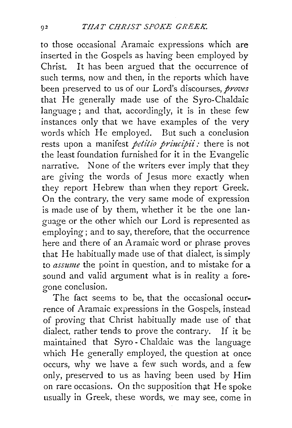to those occasional Aramaic expressions which are inserted in the Gospels as having been employed by Christ. It has been argued that the occurrence of such terms, now and then, in the reports which have been preserved to us of our Lord's discourses, *proves*  that He generally made use of the Syro-Chaldaic language; and that, accordingly, it is in these few instances only that we have examples of the very words which He employed. But such a conclusion rests upon a manifest *petitio principii*: there is not the least foundation furnished for it in the Evangelic narrative. None of the writers ever imply that they are giving the words of Jesus more exactly when they report Hebrew than when they report Greek. On the contrary. the very same mode of expression is made use of by them, whether it be the one language or the other which our Lord is represented as employing; and to say, therefore, that the occurrence here and there of an Aramaic word or phrase proves that He habitually made use of that dialect, is simply to *assume* the point in question, and to mistake for a sound and valid argument what is in reality a foregone conclusion.

The fact seems to be, that the occasional occurrence of Aramaic expressions in the Gospels, instead of proving that Christ habitually made use of that dialect, rather tends to prove the contrary. If it be maintained that Syro- Chaldaic was the language which He generally employed, the question at once occurs, why we have a few such words, and a few only, preserved to us as having been used by Him on rare occasions. On the supposition that He spoke usually in Greek, these words, we may see, come in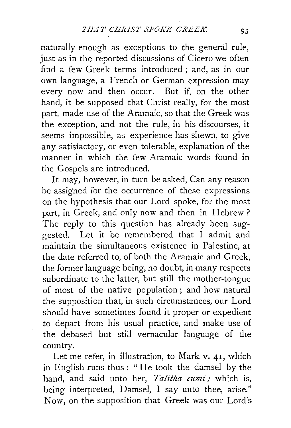naturally enough as exceptions to the general rule, just as in the reported discussions of Cicero we often find a few Greek terms introduced ; and, as in our own language, a French or German expression may every now and then occur. But if, on the other hand, it be supposed that Christ really, for the most part, made use of the Aramaic, so that the Greek was the exception, and not the rule, in his discourses, it seems impossible, as experience has shewn, to give any satisfactory, or even tolerable, explanation of the manner in which the few Aramaic words found in the Gospels are introduced.

It may, however, in turn be asked, Can any reason be assigned for the occurrence of these expressions on the hypothesis that our Lord spoke, for the most part, in Greek, and only now and then in Hebrew? The reply to this question has already been suggested. Let it be remembered that I admit and maintain the simultaneous existence in Palestine, at the date referred to, of both the Aramaic and Greek, the former language being, no doubt, in many respects subordinate to the latter, but still the mother-tongue of most of the native population ; and how natural the supposition that, in such circumstances, our Lord should have sometimes found it proper or expedient to depart from his usual practice, and make use of the debased but still vernacular language of the country.

Let me refer, in illustration, to Mark v. 41, which in English runs thus: "He took the damsel by the hand, and said unto her, *Talitha cumi*; which is, being interpreted, Damsel, I say unto thee, arise." Now, on the supposition that Greek was our Lord's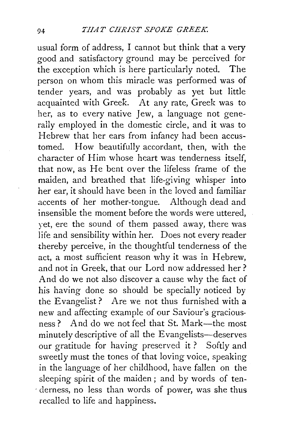usual form of address, I cannot but think that a very good and satisfactory ground may be perceived for the exception which is here particularly noted. The person on whom this miracle was performed was of tender years, and was probably as yet but little acquainted with Greek. At any rate, Greek was to her, as to every native Jew, a language not generally employed in the domestic circle, and it was to Hebrew that her ears from infancy had been accustomed. How beautifully accordant, then, with the character of Him whose heart was tenderness itself, that now, as He bent over the lifeless frame of the maiden, and breathed that life-giving whisper into her ear, it should have been in the loved and familiar accents of her mother-tongue. Although dead and insensible the moment before the words were uttered, yet, ere the sound of them passed away, there was life and sensibility within her. Does not every reader thereby perceive, in the thoughtful tenderness of the act, a most sufficient reason why it was in Hebrew, and not in Greek, that our Lord now addressed her ? And do we not also discover a cause why the fact of his having done so should be specially noticed by the Evangelist? Are we not thus furnished with a new and affecting example of our Saviour's graciousness? And do we not feel that St. Mark---the most minutely descriptive of all the Evangelists—deserves our gratitude for having preserved it ? Softly and sweetly must the tones of that loving voice, speaking in the language of her childhood, have fallen on the sleeping spirit of the maiden ; and by words of ten derness, no less than words of power, was she thus recalled to life and happiness.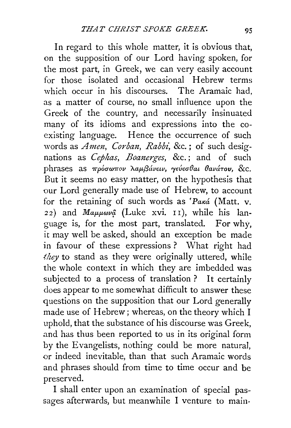In regard to this whole matter, it is obvious that, on the supposition of our Lord having spoken, for the most part, in Greek, we can very easily account for those isolated and occasional Hebrew terms which occur in his discourses. The Aramaic had, as a matter of course, no small influence upon the Greek of the country, and necessarily insinuated many of its idioms and expressions into the coexisting language. Hence the occurrence of such words as *Amen*, Corban, Rabbi, &c.; of such designations as *Cephas*, *Boanerges*, &c.; and of such phrases as πρόσωπον λαμβάνειν, γεύεσθαι θανάτου, &c. But it seems no easy matter, on the hypothesis that our Lord generally made use of Hebrew, to account for the retaining of such words as ' $Pax\acute{a}$  (Matt. v. 22) and  $Ma\mu\mu\omega\nu\hat{\mu}$  (Luke xvi. II), while his language is, for the most part, translated. For why, it may well be asked, should an exception be made in favour of these expressions ? What right had they to stand as they were originally uttered, while the whole context in which they are imbedded was subjected to a process of translation ? It certainly does appear to me somewhat difficult to answer these questions on the supposition that our Lord generally made use of Hebrew; whereas, on the theory which I uphold, that the substance of his discourse was Greek, and has thus been reported to us in its original form by the Evangelists, nothing could be more natural, or indeed inevitable, than that such Aramaic words and phrases should from time to time occur and be preserved.

I shall enter upon an examination of special passages afterwards, but meanwhile I venture to main·